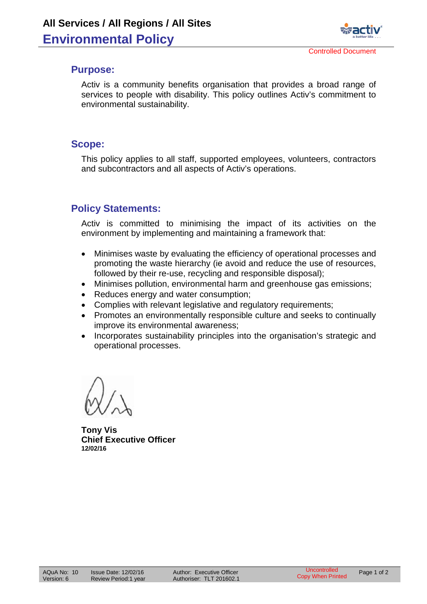

#### **Purpose:**

Activ is a community benefits organisation that provides a broad range of services to people with disability. This policy outlines Activ's commitment to environmental sustainability.

#### **Scope:**

This policy applies to all staff, supported employees, volunteers, contractors and subcontractors and all aspects of Activ's operations.

# **Policy Statements:**

Activ is committed to minimising the impact of its activities on the environment by implementing and maintaining a framework that:

- Minimises waste by evaluating the efficiency of operational processes and promoting the waste hierarchy (ie avoid and reduce the use of resources, followed by their re-use, recycling and responsible disposal);
- Minimises pollution, environmental harm and greenhouse gas emissions;
- Reduces energy and water consumption;
- Complies with relevant legislative and regulatory requirements;
- Promotes an environmentally responsible culture and seeks to continually improve its environmental awareness;
- Incorporates sustainability principles into the organisation's strategic and operational processes.

**Tony Vis Chief Executive Officer 12/02/16**